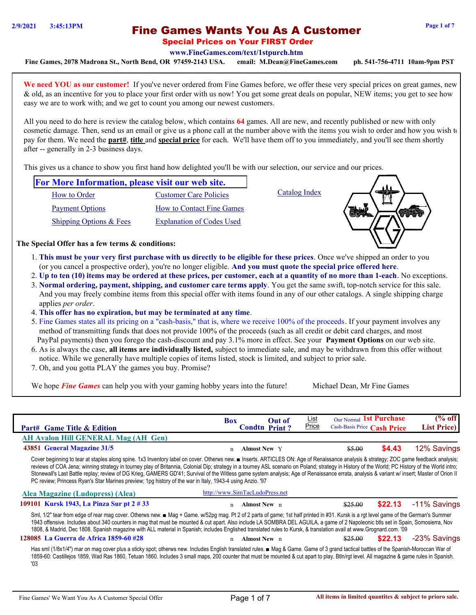# Fine Games Wants You As A Customer **2/9/2021 3:45:13PM Page 1 of 7**

**[www.FineGames.com/text/1stpurch.htm](http://www.FineGames.com/text/finegames_2004_clearance.htm)**

**Fine Games, 2078 Madrona St., North Bend, OR 97459-2143 USA. email: M.Dean@FineGames.com ph. 541-756-4711 10am-9pm PST**

We need YOU as our customer! If you've never ordered from Fine Games before, we offer these very special prices on great games, new & old, as an incentive for you to place your first order with us now! You get some great deals on popular, NEW items; you get to see how easy we are to work with; and we get to count you among our newest customers.

All you need to do here is review the catalog below, which contains **64** games. All are new, and recently published or new with only cosmetic damage. Then, send us an email or give us a phone call at the number above with the items you wish to order and how you wish to pay for them. We need the **part#**, **title** and **special price** for each. We'll have them off to you immediately, and you'll see them shortly after -- generally in 2-3 business days.

This gives us a chance to show you first hand how delighted you'll be with our selection, our service and our prices.

| <b>For More Information, please visit our web site.</b> |                                  |               |  |
|---------------------------------------------------------|----------------------------------|---------------|--|
| How to Order                                            | Customer Care Policies           | Catalog Index |  |
| <b>Payment Options</b>                                  | How to Contact Fine Games        |               |  |
| Shipping Options & Fees                                 | <b>Explanation of Codes Used</b> |               |  |

**The Special Offer has a few terms & conditions:**

- 1. **This must be your very first purchase with us directly to be eligible for these prices**. Once we've shipped an order to you (or you cancel a prospective order), you're no longer eligible. **And you must quote the special price offered here**.
- 2. **Up to ten (10) items may be ordered at these prices, per customer, each at a quantity of no more than 1-each**. No exceptions.
- 3. **Normal ordering, payment, shipping, and customer care terms apply**. You get the same swift, top-notch service for this sale. And you may freely combine items from this special offer with items found in any of our other catalogs. A single shipping charge applies *per order*.
- 4. **This offer has no expiration, but may be terminated at any time**.
- 5. Fine Games states all its pricing on a "cash-basis," that is, where we receive 100% of the proceeds. If your payment involves any method of transmitting funds that does not provide 100% of the proceeds (such as all credit or debit card charges, and most PayPal payments) then you forego the cash-discount and pay 3.1% more in effect. See your **Payment Options** on our web site.
- 6. As is always the case, **all items are individually listed,** subject to immediate sale, and may be withdrawn from this offer without notice. While we generally have multiple copies of items listed, stock is limited, and subject to prior sale.
- 7. Oh, and you gotta PLAY the games you buy. Promise?

We hope *Fine Games* can help you with your gaming hobby years into the future! Michael Dean, Mr Fine Games

| <b>Part# Game Title &amp; Edition</b>                                                                                                                                                                                                                                                                                                                                                                                                                                                                                                                                                                                                                                                                | <b>Box</b>  | <b>Out of</b><br><b>Condtn Print?</b> | <u>List</u><br><b>Price</b> | Our Normal 1st Purchase<br>Cash-Basis Price Cash Price |         | (% off<br><b>List Price</b> ) |
|------------------------------------------------------------------------------------------------------------------------------------------------------------------------------------------------------------------------------------------------------------------------------------------------------------------------------------------------------------------------------------------------------------------------------------------------------------------------------------------------------------------------------------------------------------------------------------------------------------------------------------------------------------------------------------------------------|-------------|---------------------------------------|-----------------------------|--------------------------------------------------------|---------|-------------------------------|
| AH Avalon Hill GENERAL Mag (AH Gen)                                                                                                                                                                                                                                                                                                                                                                                                                                                                                                                                                                                                                                                                  |             |                                       |                             |                                                        |         |                               |
| 43851 General Magazine 31/5                                                                                                                                                                                                                                                                                                                                                                                                                                                                                                                                                                                                                                                                          | n           | <b>Almost New Y</b>                   |                             | \$5.00                                                 | \$4.43  | 12% Savings                   |
| Cover beginning to tear at staples along spine. 1x3 Inventory label on cover. Otherws new. Inserts. ARTICLES ON: Age of Renaissance analysis & strategy; ZOC game feedback analysis;<br>reviews of COA Jena; winning strategy in tourney play of Britannia, Colonial Dip; strategy in a tourney ASL scenario on Poland; strategy in History of the World; PC History of the World intro;<br>Stonewall's Last Battle replay; review of DG Krieg, GAMERS GD'41; Survival of the Witless game system analysis; Age of Renaissance errata, analysis & variant w/ insert; Master of Orion II<br>PC review; Princess Ryan's Star Marines preview; 1pg history of the war in Italy, 1943-4 using Anzio. '97 |             |                                       |                             |                                                        |         |                               |
| Alea Magazine (Ludopress) (Alea)                                                                                                                                                                                                                                                                                                                                                                                                                                                                                                                                                                                                                                                                     |             | http://www.SimTacLudoPress.net        |                             |                                                        |         |                               |
| 109101 Kursk 1943, La Pinza Sur pt 2 # 33                                                                                                                                                                                                                                                                                                                                                                                                                                                                                                                                                                                                                                                            | $\mathbf n$ | <b>Almost New</b> n                   |                             | \$25.00                                                | \$22.13 | -11% Savings                  |
| Sml, 1/2" tear from edge of rear mag cover. Otherws new.■ Mag + Game. w/52pg mag. Pt 2 of 2 parts of game; 1st half printed in #31. Kursk is a rgt level game of the German's Summer<br>1943 offensive. Includes about 340 counters in mag that must be mounted & cut apart. Also include LA SOMBRA DEL AGUILA, a game of 2 Napoleonic btls set in Spain, Somosierra, Nov<br>1808, & Madrid, Dec 1808. Spanish magazine with ALL material in Spanish; includes Englished translated rules to Kursk, & translation avail at www.Grognard.com. '09                                                                                                                                                     |             |                                       |                             |                                                        |         |                               |
| 128085 La Guerra de Africa 1859-60 #28                                                                                                                                                                                                                                                                                                                                                                                                                                                                                                                                                                                                                                                               | $\mathbf n$ | <b>Almost New</b> n                   |                             | \$25.00                                                | \$22.13 | -23% Savings                  |
| Has sml (1/8x1/4") mar on mag cover plus a sticky spot; otherws new. Includes English translated rules. ■ Mag & Game. Game of 3 grand tactical battles of the Spanish-Moroccan War of<br>1859-60: Castillejos 1859, Wad Ras 1860, Tetuan 1860. Includes 3 small maps, 200 counter that must be mounted & cut apart to play. Btln/rgt level. All magazine & game rules in Spanish.<br>'03                                                                                                                                                                                                                                                                                                             |             |                                       |                             |                                                        |         |                               |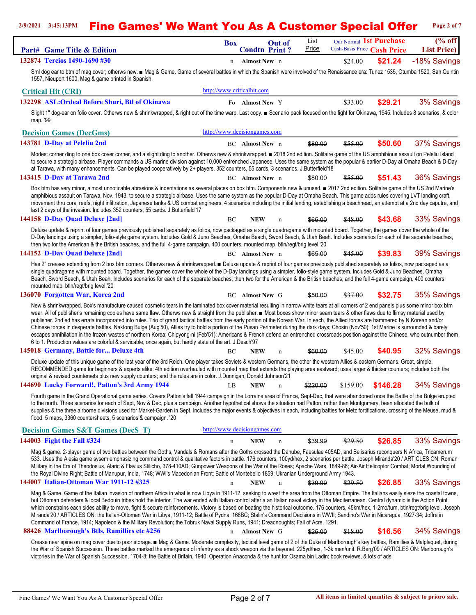#### **2/9/2021 3:45:13PM** Fine Games' We Want You As A Customer Special Offer **Page 2 of 7**

|                                                                                                                                                                                                                                                                                                                                                                                                                                                                                                                                                                                                                                                                                                                                                                                                                                                                                                                                                                                                                                                                                   | <u>i yu mu m yuutumu </u>    |                                |                      |                     | VIMI VI                                                |                                                 |
|-----------------------------------------------------------------------------------------------------------------------------------------------------------------------------------------------------------------------------------------------------------------------------------------------------------------------------------------------------------------------------------------------------------------------------------------------------------------------------------------------------------------------------------------------------------------------------------------------------------------------------------------------------------------------------------------------------------------------------------------------------------------------------------------------------------------------------------------------------------------------------------------------------------------------------------------------------------------------------------------------------------------------------------------------------------------------------------|------------------------------|--------------------------------|----------------------|---------------------|--------------------------------------------------------|-------------------------------------------------|
| Part# Game Title & Edition                                                                                                                                                                                                                                                                                                                                                                                                                                                                                                                                                                                                                                                                                                                                                                                                                                                                                                                                                                                                                                                        | <b>Box</b>                   | Out of<br><b>Condtn Print?</b> | <b>List</b><br>Price |                     | Our Normal 1st Purchase<br>Cash-Basis Price Cash Price | $\sqrt{\frac{9}{6}}$ off<br><b>List Price</b> ) |
| 132874 Tercios 1490-1690 #30                                                                                                                                                                                                                                                                                                                                                                                                                                                                                                                                                                                                                                                                                                                                                                                                                                                                                                                                                                                                                                                      | Almost New n<br>$\mathbf n$  |                                |                      | \$24.00             | \$21.24                                                | -18% Savings                                    |
| Sml dog ear to btm of mag cover; otherws new. ■ Mag & Game. Game of several battles in which the Spanish were involved of the Renaissance era: Tunez 1535, Otumba 1520, San Quintin<br>1557, Nieuport 1600. Mag & game printed in Spanish.                                                                                                                                                                                                                                                                                                                                                                                                                                                                                                                                                                                                                                                                                                                                                                                                                                        |                              |                                |                      |                     |                                                        |                                                 |
| <b>Critical Hit (CRI)</b>                                                                                                                                                                                                                                                                                                                                                                                                                                                                                                                                                                                                                                                                                                                                                                                                                                                                                                                                                                                                                                                         | http://www.criticalhit.com   |                                |                      |                     |                                                        |                                                 |
| 132298 ASL: Ordeal Before Shuri, Btl of Okinawa                                                                                                                                                                                                                                                                                                                                                                                                                                                                                                                                                                                                                                                                                                                                                                                                                                                                                                                                                                                                                                   | Fo Almost New Y              |                                |                      | \$33.00             | \$29.21                                                | 3% Savings                                      |
| Slight 1" dog-ear on folio cover. Otherws new & shrinkwrapped, & right out of the time warp. Last copy. ■ Scenario pack focused on the fight for Okinawa, 1945. Includes 8 scenarios, & color<br>map. '99                                                                                                                                                                                                                                                                                                                                                                                                                                                                                                                                                                                                                                                                                                                                                                                                                                                                         |                              |                                |                      |                     |                                                        |                                                 |
| <b>Decision Games (DecGms)</b>                                                                                                                                                                                                                                                                                                                                                                                                                                                                                                                                                                                                                                                                                                                                                                                                                                                                                                                                                                                                                                                    | http://www.decisiongames.com |                                |                      |                     |                                                        |                                                 |
| 143781 D-Day at Peleliu 2nd                                                                                                                                                                                                                                                                                                                                                                                                                                                                                                                                                                                                                                                                                                                                                                                                                                                                                                                                                                                                                                                       | BC Almost New n              |                                | \$80.00              | \$55.00             | \$50.60                                                | 37% Savings                                     |
| Modest corner ding to one box cover corner, and a slight ding to another. Otherws new & shrinkwrapped. 2018 2nd edition. Solitaire game of the US amphibious assault on Peleliu Island<br>to secure a strategic airbase. Player commands a US marine division against 10,000 entrenched Japanese. Uses the same system as the popular & earlier D-Day at Omaha Beach & D-Day<br>at Tarawa, with many enhancements. Can be played cooperatively by 2+ players. 352 counters, 55 cards, 3 scenarios. J.Butterfield'18                                                                                                                                                                                                                                                                                                                                                                                                                                                                                                                                                               |                              |                                |                      |                     |                                                        |                                                 |
| 143415 D-Day at Tarawa 2nd                                                                                                                                                                                                                                                                                                                                                                                                                                                                                                                                                                                                                                                                                                                                                                                                                                                                                                                                                                                                                                                        | <b>BC</b> Almost New n       |                                | \$80.00              | \$55.00             | \$51.43                                                | 36% Savings                                     |
| Box btm has very minor, almost unnoticable abrasions & indentations as several places on box btm. Components new & unused. 2017 2nd edition. Solitaire game of the US 2nd Marine's<br>amphibious assault on Tarawa, Nov. 1943, to secure a strategic airbase. Uses the same system as the popular D-Day at Omaha Beach. This game adds rules covering LVT landing craft,<br>movement thru coral reefs, night infiltration, Japanese tanks & US combat engineers. 4 scenarios including the initial landing, establishing a beachhead, an attempt at a 2nd day caputre, and<br>last 2 days of the invasion. Includes 352 counters, 55 cards. J.Butterfield'17                                                                                                                                                                                                                                                                                                                                                                                                                      |                              |                                |                      |                     |                                                        |                                                 |
| 144158 D-Day Ouad Deluxe [2nd]                                                                                                                                                                                                                                                                                                                                                                                                                                                                                                                                                                                                                                                                                                                                                                                                                                                                                                                                                                                                                                                    | BС<br><b>NEW</b>             | $\mathbf n$                    | \$65.00              | <del>\$48.00</del>  | \$43.68                                                | 33% Savings                                     |
| Deluxe update & reprint of four games previously published separately as folios, now packaged as a single quadragame with mounted board. Together, the games cover the whole of the<br>D-Day landings using a simpler, folio-style game system. Includes Gold & Juno Beaches, Omaha Beach, Sword Beach, & Utah Beah. Includes scenarios for each of the separate beaches,<br>then two for the American & the British beaches, and the full 4-game campaign. 400 counters, mounted map, btln/regt/brig level.'20                                                                                                                                                                                                                                                                                                                                                                                                                                                                                                                                                                   |                              |                                |                      |                     |                                                        |                                                 |
| 144152 D-Day Ouad Deluxe [2nd]                                                                                                                                                                                                                                                                                                                                                                                                                                                                                                                                                                                                                                                                                                                                                                                                                                                                                                                                                                                                                                                    | BC Almost New n              |                                | \$65.00              | \$45.00             | \$39.83                                                | 39% Savings                                     |
| Has 2" creases extending from 2 box btm corners. Otherws new & shrinkwrapped. $\blacksquare$ Deluxe update & reprint of four games previously published separately as folios, now packaged as a<br>single quadragame with mounted board. Together, the games cover the whole of the D-Day landings using a simpler, folio-style game system. Includes Gold & Juno Beaches, Omaha<br>Beach, Sword Beach, & Utah Beah. Includes scenarios for each of the separate beaches, then two for the American & the British beaches, and the full 4-game campaign. 400 counters,<br>mounted map, btln/regt/brig level.'20                                                                                                                                                                                                                                                                                                                                                                                                                                                                   |                              |                                |                      |                     |                                                        |                                                 |
| 136070 Forgotten War, Korea 2nd                                                                                                                                                                                                                                                                                                                                                                                                                                                                                                                                                                                                                                                                                                                                                                                                                                                                                                                                                                                                                                                   | <b>BC</b> Almost New G       |                                | \$50.00              | <del>\$37.00</del>  | \$32.75                                                | 35% Savings                                     |
| New & shrinkwrapped. Box's manufacture caused cosmetic tears in the laminated box cover material resulting in narrow white tears at all corners of 2 end panels plus some minor box btm<br>wear. All of publisher's remaining copies have same flaw. Otherws new & straight from the publisher. In Most boxes show minor seam tears & other flaws due to flimsy material used by<br>publisher. 2nd ed has errata incorporated into rules. Trio of grand tactical battles from the early portion of the Korean War. In each, the Allied forces are hammered by N. Korean and/or<br>Chinese forces in desperate battles. Naktong Bulge (Aug'50), Allies try to hold a portion of the Pusan Perimeter during the dark days; Chosin (Nov'50): 1st Marine is surrounded & barely<br>escapes annihilation in the frozen wastes of northern Korea; Chipyong-ni (Feb'51): Americans & French defend an entrenched crossroads position against the Chinese, who outnumber them<br>6 to 1. Production values are colorful & servicable, once again, but hardly state of the art. J.Desch'97 |                              |                                |                      |                     |                                                        |                                                 |
| 145018 Germany, Battle for Deluxe 4th                                                                                                                                                                                                                                                                                                                                                                                                                                                                                                                                                                                                                                                                                                                                                                                                                                                                                                                                                                                                                                             | BC<br>NEW                    |                                | \$60.00              | \$45.00             | \$40.95                                                | 32% Savings                                     |
| Deluxe update of this unique game of the last year of the 3rd Reich. One player takes Soviets & western Germans, the other the western Allies & eastern Germans. Great, simple,<br>RECOMMENDED game for beginners & experts alike. 4th edition overhauled with mounted map that extends the playing area eastward; uses larger & thicker counters; includes both the<br>original & revised countersets plus new supply counters; and the rules are in color. J.Dunnigan, Donald Johnson'21                                                                                                                                                                                                                                                                                                                                                                                                                                                                                                                                                                                        |                              |                                |                      |                     |                                                        |                                                 |
| 144690 Lucky Forward!, Patton's 3rd Army 1944                                                                                                                                                                                                                                                                                                                                                                                                                                                                                                                                                                                                                                                                                                                                                                                                                                                                                                                                                                                                                                     | <b>NEW</b><br>LB             | $\mathbf n$                    | \$220.00             | <del>\$159.00</del> | \$146.28                                               | 34% Savings                                     |
| Fourth game in the Grand Operational game series. Covers Patton's fall 1944 campaign in the Lorraine area of France, Sept-Dec, that were abandoned once the Battle of the Bulge erupted<br>to the north. Three scenarios for each of Sept, Nov & Dec, plus a campaign. Another hypothetical shows the situation had Patton, rather than Montgomery, been allocated the bulk of<br>supplies & the three airborne divisions used for Market-Garden in Sept. Includes the major events & objectives in each, including battles for Metz fortifications, crossing of the Meuse, mud &<br>flood. 5 maps, 3360 countersheets, 5 scenarios & campaign. '20                                                                                                                                                                                                                                                                                                                                                                                                                               |                              |                                |                      |                     |                                                        |                                                 |
| <b>Decision Games S&amp;T Games (DecS T)</b>                                                                                                                                                                                                                                                                                                                                                                                                                                                                                                                                                                                                                                                                                                                                                                                                                                                                                                                                                                                                                                      | http://www.decisiongames.com |                                |                      |                     |                                                        |                                                 |
| 144003 Fight the Fall #324                                                                                                                                                                                                                                                                                                                                                                                                                                                                                                                                                                                                                                                                                                                                                                                                                                                                                                                                                                                                                                                        | <b>NEW</b><br>$\mathbf n$    | $\mathbf n$                    | \$39.99              | \$29.50             | \$26.85                                                | 33% Savings                                     |
| Mag & game. 2-player game of two battles between the Goths, Vandals & Romans after the Goths crossed the Danube, Faesulae 405AD, and Belisarius reconquers N Africa, Tricamerum<br>533. Uses the Alesia game sysem emphasizing command control & qualitative factors in battle. 176 counters, 100yd/hex, 2 scenarios per battle. Joseph Miranda'20 / ARTICLES ON: Roman<br>Military in the Era of Theodosius, Alaric & Flavius Stilicho, 378-410AD; Gunpower Weapons of the War of the Roses; Apache Wars, 1849-86; Air-Air Helicoptor Combat; Mortal Wounding of<br>the Royal Divine Right; Battle of Manupur, India, 1748; WWI's Macedonian Front; Battle of Montebello 1859; Ukranian Underground Army 1943.                                                                                                                                                                                                                                                                                                                                                                   |                              |                                |                      |                     |                                                        |                                                 |
| 144007 Italian-Ottoman War 1911-12 #325                                                                                                                                                                                                                                                                                                                                                                                                                                                                                                                                                                                                                                                                                                                                                                                                                                                                                                                                                                                                                                           | <b>NEW</b><br>$\mathbf n$    | $\mathbf n$                    | \$39.99              | \$29.50             | \$26.85                                                | 33% Savings                                     |
| Mag & Game. Game of the Italian invasion of northern Africa in what is now Libya in 1911-12, seeking to wrest the area from the Ottoman Empire. The Italians easily sieze the coastal towns,<br>but Ottoman defenders & local Bedouin tribes hold the interior. The war ended with Italian control after a an Italian naval victory in the Mediterranean. Central dynamic is the Action Point<br>which constrains each sides ability to move, fight & secure reinforcements. Victory is based on beating the historical outcome. 176 counters, 45km/hex, 1-2mo/turn, btln/regt/brig level. Joseph<br>Miranda'20 / ARTICLES ON: the Italian-Ottoman War in Libya, 1911-12; Battle of Pydna, 168BC; Stalin's Command Decisions in WWII; Sandino's War in Nicaragua, 1927-34; Joffre in<br>Command of France, 1914; Napoleon & the Military Revolution; the Tobruk Naval Supply Runs, 1941; Dreadnoughts; Fall of Acre, 1291.                                                                                                                                                        |                              |                                |                      |                     |                                                        |                                                 |
| 88426 Marlborough's Btls, Ramillies etc #256                                                                                                                                                                                                                                                                                                                                                                                                                                                                                                                                                                                                                                                                                                                                                                                                                                                                                                                                                                                                                                      | n Almost New G               |                                | \$25.00              | \$18.00             | \$16.56                                                | 34% Savings                                     |
| Crease near spine on mag cover due to poor storage. ■ Mag & Game. Moderate complexity, tactical level game of 2 of the Duke of Marlborough's key battles, Ramillies & Malplaquet, during<br>the War of Spanish Succession. These battles marked the emergence of infantry as a shock weapon via the bayonet. 225yd/hex, 1-3k men/unit. R.Berg'09 / ARTICLES ON: Marlborough's<br>victories in the War of Spanish Succession, 1704-8; the Battle of Britain, 1940; Operation Anaconda & the hunt for Osama bin Ladin; book reviews, & lots of ads.                                                                                                                                                                                                                                                                                                                                                                                                                                                                                                                                 |                              |                                |                      |                     |                                                        |                                                 |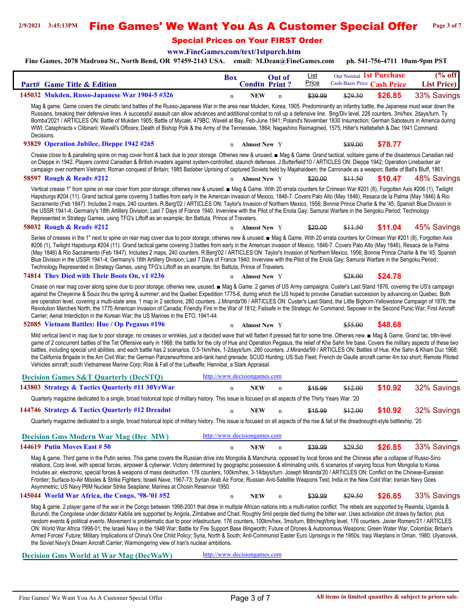#### **2/9/2021 3:45:13PM** Fine Games' We Want You As A Customer Special Offer **Page 3 of 7**

Special Prices on Your FIRST Order

**[www.FineGames.com/text/1stpurch.htm](http://www.FineGames.com/text/finegames_2004_clearance.htm)**

**Fine Games, 2078 Madrona St., North Bend, OR 97459-2143 USA. email: M.Dean@FineGames.com ph. 541-756-4711 10am-9pm PST**

| Part# Game Title & Edition                                                                                                                                                                                                                                                                                                                                                                                                                                                                                                                                                                                                                                                                                                                                                                                                                                                                                                                                                                                                                                  | <b>Box</b>                         | Out of<br><b>Condtn Print?</b> | List<br>Price | Our Normal 1st Purchase | Cash-Basis Price Cash Price | $%$ off<br><b>List Price</b> ) |
|-------------------------------------------------------------------------------------------------------------------------------------------------------------------------------------------------------------------------------------------------------------------------------------------------------------------------------------------------------------------------------------------------------------------------------------------------------------------------------------------------------------------------------------------------------------------------------------------------------------------------------------------------------------------------------------------------------------------------------------------------------------------------------------------------------------------------------------------------------------------------------------------------------------------------------------------------------------------------------------------------------------------------------------------------------------|------------------------------------|--------------------------------|---------------|-------------------------|-----------------------------|--------------------------------|
| 145032 Mukden, Russo-Japanese War 1904-5 #326                                                                                                                                                                                                                                                                                                                                                                                                                                                                                                                                                                                                                                                                                                                                                                                                                                                                                                                                                                                                               | <b>NEW</b><br>$\mathbf n$          | $\mathbf n$                    | \$39.99       | \$29.50                 | \$26.85                     | 33% Savings                    |
| Mag & game. Game covers the climatic land battles of the Russo-Japanese War in the area near Mukden, Korea, 1905. Predominantly an infantry battle, the Japanese must wear down the<br>Russians, breaking their defensive lines. A successful assault can allow advances and additional combat to roll up a defensive line. Brig/Div level, 228 counters, 3mi/hex, 2days/turn. Ty<br>Bomba'2021 / ARTICLES ON: Battle of Mukden 1905; Battle of Mycale, 479BC; Wavell at Bay, Feb-June 1941; Poland's November 1830 Insurrection; German Saboteurs in America during<br>WWI; Cataphracts v Clibinarii; Wavell's Officers; Death of Bishop Polk & the Army of the Tennessee, 1864; Nagashino Reimagined, 1575; Hitler's Haltebefeh & Dec 1941 Command<br>Decisions.                                                                                                                                                                                                                                                                                          |                                    |                                |               |                         |                             |                                |
| 93829 Operation Jubilee, Dieppe 1942 #265                                                                                                                                                                                                                                                                                                                                                                                                                                                                                                                                                                                                                                                                                                                                                                                                                                                                                                                                                                                                                   | <b>Almost New Y</b><br>n           |                                |               | \$89.00                 | \$78.77                     |                                |
| Crease close to & paralleling spine on mag cover front & back due to poor storage. Otherws new & unused. ■ Mag & Game. Grand tactical, solitaire game of the disasterous Canadian raid<br>on Dieppe in 1942. Players control Canadian & British invaders against system-controlled, staunch defenses. J.Butterfield'10 / ARTICLES ON: Dieppe 1942; Operation Linebacker air<br>campaign over northern Vietnam; Roman conquest of Britain; 1985 Badaber Uprising of captured Soviets held by Majahaideen; the Carronade as a weapon; Battle of Ball's Bluff, 1861.                                                                                                                                                                                                                                                                                                                                                                                                                                                                                           |                                    |                                |               |                         |                             |                                |
| 58597 Rough & Ready #212                                                                                                                                                                                                                                                                                                                                                                                                                                                                                                                                                                                                                                                                                                                                                                                                                                                                                                                                                                                                                                    | <b>Almost New Y</b><br>n           |                                | \$20.00       | \$11.50                 | \$10.47                     | 48% Savings                    |
| Vertical crease 1" from spine on rear cover from poor storage; otherws new & unused. Mag & Game. With 20 errata counters for Crimean War #201 (8), Forgotten Axis #206 (1), Twilight<br>Hapsburgs #204 (11). Grand tactical game covering 3 battles from early in the American invasion of Mexico, 1846-7. Covers Palo Alto (May 1846), Resaca de la Palma (May 1846) & Rio<br>Sacramento (Feb 1847). Includes 2 maps, 240 counters. R.Berg'02 / ARTICLES ON: Taylor's Invasion of Northern Mexico, 1956; Bonnie Prince Charlie & the '45; Spanish Blue Division in<br>the USSR 1941-4; Germany's 18th Artillery Division; Last 7 Days of France 1940; Inverview with the Pilot of the Enola Gay; Samurai Warfare in the Sengoku Period; Technology<br>Represented in Strategy Games, using TFG's Liftoff as an example; Ibn Battuta, Prince of Travelers.                                                                                                                                                                                                  |                                    |                                |               |                         |                             |                                |
| 58032 Rough & Ready #212                                                                                                                                                                                                                                                                                                                                                                                                                                                                                                                                                                                                                                                                                                                                                                                                                                                                                                                                                                                                                                    | n <b>Almost New</b> Y              |                                | \$20.00       | \$11.50                 | \$11.04                     | 45% Savings                    |
| Series of creases in the 1" next to spine on rear mag cover due to poor storage; otherws new & unused. ■ Mag & Game. With 20 errata counters for Crimean War #201 (8), Forgotten Axis<br>#206 (1), Twilight Hapsburgs #204 (11). Grand tactical game covering 3 battles from early in the American invasion of Mexico, 1846-7. Covers Palo Alto (May 1846), Resaca de la Palma<br>(May 1846) & Rio Sacramento (Feb 1847). Includes 2 maps, 240 counters. R.Berg'02 / ARTICLES ON: Taylor's Invasion of Northern Mexico, 1956; Bonnie Prince Charlie & the '45; Spanish<br>Blue Division in the USSR 1941-4; Germany's 18th Artillery Division; Last 7 Days of France 1940; Inverview with the Pilot of the Enola Gay; Samurai Warfare in the Sengoku Period;<br>Technology Represented in Strategy Games, using TFG's Liftoff as an example; Ibn Battuta, Prince of Travelers.                                                                                                                                                                              |                                    |                                |               |                         |                             |                                |
| 74814 They Died with Their Boots On, v1 #236                                                                                                                                                                                                                                                                                                                                                                                                                                                                                                                                                                                                                                                                                                                                                                                                                                                                                                                                                                                                                | n Almost New Y                     |                                |               | \$28.00                 | \$24.78                     |                                |
| Crease on rear mag cover along spine due to poor storage; otherws new, usused. ■ Mag & Game. 2 games of US Army campaigns: Custer's Last Stand 1876, covering the US's campaign<br>against the Cheyenne & Souix thru the spring & summer; and the Quebec Expedition 1775-6, during which the US hoped to provoke Canadian succession by advancing on Quebec. Both<br>are operation level, covering a multi-state area. 1 map in 2 sections, 280 counters. J.Miranda'06 / ARTICLES ON: Custer's Last Stand, the Little Bighorn-Yellowstone Campaign of 1876; the<br>Revolution Marches North, the 1775 American Invasion of Canada; Friendly Fire in the War of 1812; Failsafe in the Strategic Air Command; Sepower in the Second Punic War; First Aircraft<br>Carrier; Aerial Interdiction in the Korean War; the US Marines in the ETO, 1941-44.                                                                                                                                                                                                          |                                    |                                |               |                         |                             |                                |
| 52085 Vietnam Battles: Hue / Op Pegasus #196                                                                                                                                                                                                                                                                                                                                                                                                                                                                                                                                                                                                                                                                                                                                                                                                                                                                                                                                                                                                                | <b>Almost New</b> Y<br>$\mathbf n$ |                                |               | \$55.00                 | \$48.68                     |                                |
| Mild vertical bend in mag due to poor storage; no creases or wrinkles, just a decided wave that will flatten if pressed flat for some time. Otherws new. In Mag & Game. Grand tac, btln-level<br>game of 2 concurrent battles of the Tet Offensive early in 1968: the battle for the city of Hue and Operation Pegasus, the relief of Khe Sahn fire base. Covers the military aspects of these two<br>battles, including special unit abilities, and each battle has 2 scenarios. 0.5-1km/hex, 1-2days/turn, 280 counters. J.Miranda'99 / ARTICLES ON: Battles of Hue, Khe Sahn & Kham Duc 1968;<br>the California Brigade in the Am Civil War; the German Panzerwurfmine anti-tank hand grenade; SCUD Hunting; US Sub Fleet; French de Gaulle aircraft carrier 4m too short; Remote Piloted<br>Vehicles aircraft; south Vietnamese Marine Corp; Rise & Fall of the Luftwaffe; Hannibal, a Stark Appraisal.                                                                                                                                                 |                                    |                                |               |                         |                             |                                |
| <b>Decision Games S&amp;T Quarterly (DecSTQ)</b>                                                                                                                                                                                                                                                                                                                                                                                                                                                                                                                                                                                                                                                                                                                                                                                                                                                                                                                                                                                                            | http://www.decisiongames.com       |                                |               |                         |                             |                                |
| 143803 Strategy & Tactics Quarterly #11 30YrWar                                                                                                                                                                                                                                                                                                                                                                                                                                                                                                                                                                                                                                                                                                                                                                                                                                                                                                                                                                                                             | <b>NEW</b><br>$\mathbf n$          | $\mathbf n$                    | \$15.99       | \$12.00                 | \$10.92                     | 32% Savings                    |
| Quarterly magazine dedicated to a single, broad historical topic of military history. This issue is focused on all aspects of the Thirty Years War. '20                                                                                                                                                                                                                                                                                                                                                                                                                                                                                                                                                                                                                                                                                                                                                                                                                                                                                                     |                                    |                                |               |                         |                             |                                |
| 144746 Strategy & Tactics Quarterly #12 Dreadnt                                                                                                                                                                                                                                                                                                                                                                                                                                                                                                                                                                                                                                                                                                                                                                                                                                                                                                                                                                                                             | <b>NEW</b><br>n                    | n                              | \$15.99       | \$12.00                 | \$10.92                     | 32% Savings                    |
| Quarterly magazine dedicated to a single, broad historical topic of military history. This issue is focused on all aspects of the rise & fall of the dreadnought-style battleship. '20                                                                                                                                                                                                                                                                                                                                                                                                                                                                                                                                                                                                                                                                                                                                                                                                                                                                      |                                    |                                |               |                         |                             |                                |
|                                                                                                                                                                                                                                                                                                                                                                                                                                                                                                                                                                                                                                                                                                                                                                                                                                                                                                                                                                                                                                                             |                                    |                                |               |                         |                             |                                |
| <b>Decision Gms Modern War Mag (Dec MW)</b>                                                                                                                                                                                                                                                                                                                                                                                                                                                                                                                                                                                                                                                                                                                                                                                                                                                                                                                                                                                                                 | http://www.decisiongames.com       |                                |               |                         |                             |                                |
| 144619 Putin Moves East # 50                                                                                                                                                                                                                                                                                                                                                                                                                                                                                                                                                                                                                                                                                                                                                                                                                                                                                                                                                                                                                                | <b>NEW</b><br>$\mathbf n$          | $\mathbf n$                    | \$39.99       | \$29.50                 | \$26.85                     | 33% Savings                    |
| Mag & game. Third game in the Putin series. This game covers the Russian drive into Mongolia & Manchuria, opposed by local forces and the Chinese after a collapse of Russo-Sino<br>relations. Corp level, with special forces, airpower & cyberwar. Victory determined by geographic possession & eliminating units. 6 scenarios of varying focus from Mongolia to Korea.<br>Includes air, electronic, special forces & weapons of mass destruction. 176 counters, 100km/hex, 3-14days/turn. Joseph Miranda'20 / ARTICLES ON: Conflict on the Chinese-Eurasian<br>Frontier; Surface-to-Air Missles & Strike Fighters; Israeli Nave, 1967-73; Syrian Arab Air Force; Russian Anti-Satellite Weapons Test; India in the New Cold War; Iranian Navy Goes<br>Asymmetric; US Navy P6M Nuclear Strike Seaplane; Marines at Chosin Reservoir 1950.                                                                                                                                                                                                                |                                    |                                |               |                         |                             |                                |
| 145044 World War Africa, the Congo, '98-'01 #52                                                                                                                                                                                                                                                                                                                                                                                                                                                                                                                                                                                                                                                                                                                                                                                                                                                                                                                                                                                                             | <b>NEW</b><br>$\mathbf n$          | n                              | \$39.99       | \$29.50                 | \$26.85                     | 33% Savings                    |
| Mag & game. 2 player game of the war in the Congo between 1998-2001 that drew in multiple African nations into a multi-nation conflict. The rebels are supported by Rwanda, Uganda &<br>Burundi; the Congolese under dictator Kabila are supported by Angola, Zimbabwe and Chad. Roughly 5mil people died during the bitter war. Uses activiation chit draws by faction, plus<br>random events & political events. Movement is problematic due to poor infastructure. 176 counters, 100km/hex, 3mo/turn, Btln/regt/brig level, 176 counters. Javier Romero'21 / ARTICLES<br>ON: World War Africa 1998-01; the Israeli Navy in the 1948 War; Battle for Fire Support Base Illingworth; Future of Drones & Autonomous Weapons; Green Water War, Colombia; Britain's<br>Armed Forces' Future; Military Implications of China's One Child Policy; Syria, North & South; Anti-Communist Easter Euro Uprisings in the 1950s; Iraqi Warplans in Oman, 1980; Ulyanovsk,<br>the Soviet Navy's Dream Aircraft Carrier; Warmongering view of Iran's nuclear ambitions. |                                    |                                |               |                         |                             |                                |
| <b>Decision Gms World at War Mag (DecWaW)</b>                                                                                                                                                                                                                                                                                                                                                                                                                                                                                                                                                                                                                                                                                                                                                                                                                                                                                                                                                                                                               | http://www.decisiongames.com       |                                |               |                         |                             |                                |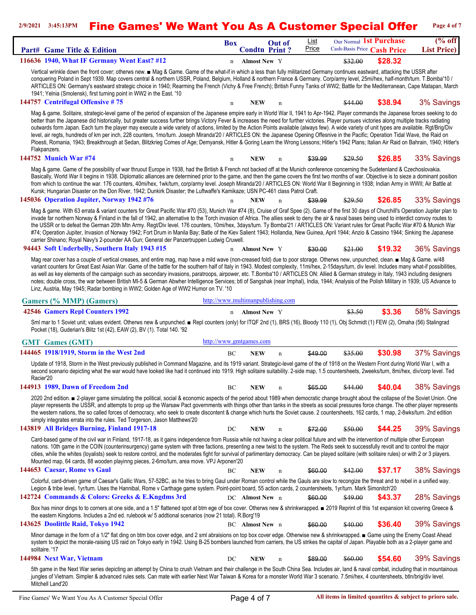## **2/9/2021 3:45:13PM** Fine Games' We Want You As A Customer Special Offer **Page 4 of 7**

| Part# Game Title & Edition                                                                                                                                                                                                                                                                                                                                                                                                                                                                                                                                                                                                                                                                                                                                                                                                                                                                                                         | <b>Box</b>              | <b>Condtn Print?</b> | <b>Out of</b>                     | List<br>Price | Our Normal 1st Purchase<br>Cash-Basis Price Cash Price |         | $(\%$ off<br><b>List Price</b> ) |
|------------------------------------------------------------------------------------------------------------------------------------------------------------------------------------------------------------------------------------------------------------------------------------------------------------------------------------------------------------------------------------------------------------------------------------------------------------------------------------------------------------------------------------------------------------------------------------------------------------------------------------------------------------------------------------------------------------------------------------------------------------------------------------------------------------------------------------------------------------------------------------------------------------------------------------|-------------------------|----------------------|-----------------------------------|---------------|--------------------------------------------------------|---------|----------------------------------|
| 116636 1940, What IF Germany Went East? #12                                                                                                                                                                                                                                                                                                                                                                                                                                                                                                                                                                                                                                                                                                                                                                                                                                                                                        | n                       | <b>Almost New Y</b>  |                                   |               | \$32.00                                                | \$28.32 |                                  |
| Vertical wrinkle down the front cover; otherws new. ■ Mag & Game. Game of the what-if in which a less than fully militarized Germany continues eastward, attacking the USSR after<br>conquering Poland in Sept 1939. Map covers central & northern USSR, Poland, Belgium, Holland & northern France & Germany. Corp/army level, 25mi/hex, half-month/turn. T.Bomba'10 /<br>ARTICLES ON: Germany's eastward strategic choice in 1940; Rearming the French (Vichy & Free French); British Funny Tanks of WW2; Battle for the Mediterranean, Cape Matapan, March<br>1941; Yelnia (Smolensk), first turning point in WW2 in the East. '10<br>144757 Centrifugal Offensive #75                                                                                                                                                                                                                                                          | n                       | <b>NEW</b>           | n                                 |               | \$44.00                                                | \$38.94 | 3% Savings                       |
| Mag & game. Solitaire, strategic-level game of the period of expansion of the Japanese empire early in World War II, 1941 to Apr-1942. Player commands the Japanese forces seeking to do                                                                                                                                                                                                                                                                                                                                                                                                                                                                                                                                                                                                                                                                                                                                           |                         |                      |                                   |               |                                                        |         |                                  |
| better than the Japanese did historically, but greater success further brings Victory Fever & increases the need for further victories. Player pursues victories along multiple tracks radiating<br>outwards form Japan. Each turn the player may execute a wide variety of actions, limited by the Action Points available (always few). A wide variety of unit types are available. Rgt/Brig/Div<br>level, air regts, hundreds of km per inch, 228 counters, 1mo/turn. Joseph Miranda'20 / ARTICLES ON: the Japanese Opening Offesnive in the Pacific; Operation Tidal Wave, the Raid on<br>Ploesti, Romania, 1943; Breakthrough at Sedan, Blitzkrieg Comes of Age; Demyansk, Hitler & Goring Learn the Wrong Lessons; Hitler's 1942 Plans; Italian Air Raid on Bahrain, 1940; Hitler's<br>Flakpanzers.                                                                                                                          |                         |                      |                                   |               |                                                        |         |                                  |
| 144752 Munich War #74                                                                                                                                                                                                                                                                                                                                                                                                                                                                                                                                                                                                                                                                                                                                                                                                                                                                                                              | n                       | NEW                  | n                                 | \$39.99       | \$29.50                                                | \$26.85 | 33% Savings                      |
| Mag & game. Game of the possibility of war thruout Europe in 1938, had the British & French not backed off at the Munich conference concerning the Sudetenland & Czechoslovakia.<br>Basically, World War II begins in 1938. Diplomatic alliances are determined prior to the game, and then the game covers the first two months of war. Objective is to sieze a dominant position<br>from which to continue the war. 176 counters, 40mi/hex, 1wk/turn, corp/army level. Joseph Miranda'20 / ARTICLES ON: World War II Beginning in 1938; Indian Army in WWII; Air Battle at<br>Kursk; Hungarian Disaster on the Don River, 1942; Dunkirk Disaster; the Luftwaffe's Kamikaze; USN PC-461 class Patrol Craft.                                                                                                                                                                                                                       |                         |                      |                                   |               |                                                        |         |                                  |
| 145036 Operation Jupiter, Norway 1942 #76                                                                                                                                                                                                                                                                                                                                                                                                                                                                                                                                                                                                                                                                                                                                                                                                                                                                                          | $\mathbf n$             | <b>NEW</b>           | $\mathbf n$                       | \$39.99       | \$29.50                                                | \$26.85 | 33% Savings                      |
| Mag & game. With 63 errata & variant counters for Great Pacific War #70 (53), Munich War #74 (8), Cruise of Graf Spee (2). Game of the first 30 days of Churchill's Operation Jupiter plan to<br>invade far northern Norway & Finland in the fall of 1942, an alternative to the Torch invasion of Africa. The allies seek to deny the air & naval bases being used to interdict convoy routes to<br>the USSR or to defeat the German 20th Mtn Army. Regt/Div level. 176 counters, 10mi/hex, 3days/turn. Ty Bomba'21 / ARTICLES ON: Variant rules for Great Pacific War #70 & Munich War<br>#74; Operation Jupiter, Invasion of Norway 1942; Fort Drum in Manila Bay; Batle of the Kiev Salient 1943; Hollandia, New Guinea, April 1944; Anzio & Cassino 1944; Sinking the Japanese<br>carrier Shinano; Royal Navy's 2-pounder AA Gun; General der Panzertruppen Ludwig Cruwell.<br>94443 Soft Underbelly, Southern Italy 1943 #15 |                         | n Almost New Y       |                                   | \$30.00       | \$21.00                                                | \$19.32 | 36% Savings                      |
|                                                                                                                                                                                                                                                                                                                                                                                                                                                                                                                                                                                                                                                                                                                                                                                                                                                                                                                                    |                         |                      |                                   |               |                                                        |         |                                  |
| Mag rear cover has a couple of vertical creases, and entire mag, map have a mild wave (non-creased fold) due to poor storage. Otherws new, unpunched, clean. ■ Mag & Game. w/48<br>variant counters for Great East Asian War. Game of the battle for the southern half of Italy in 1943. Modest complexity, 11mi/hex, 2-15days/turn, div level. Includes many what-if possibilities,<br>as well as key elements of the campaign such as secondary invasions, paratroops, airpower, etc. T.Bomba'10 / ARTICLES ON: Allied & German strategy in Italy, 1943 including designers<br>notes; double cross, the war between British MI-5 & German Abwher Intelligence Services; btl of Sangshak (near Imphal), India, 1944; Analysis of the Polish Military in 1939; US Advance to<br>Linz, Austria, May 1945; Radar bombing in WW2; Golden Age of WW2 Humor on TV. '10                                                                  |                         |                      |                                   |               |                                                        |         |                                  |
| <b>Gamers (% MMP) (Gamers)</b>                                                                                                                                                                                                                                                                                                                                                                                                                                                                                                                                                                                                                                                                                                                                                                                                                                                                                                     |                         |                      | http://www.multimanpublishing.com |               |                                                        |         |                                  |
| 42546 Gamers Repl Counters 1992                                                                                                                                                                                                                                                                                                                                                                                                                                                                                                                                                                                                                                                                                                                                                                                                                                                                                                    |                         | n Almost New Y       |                                   |               | \$3.50                                                 | \$3.36  | 58% Savings                      |
| Sml mar to 1 Soviet unit; values evident. Otherws new & unpunched. ■ Repl counters (only) for ITQF 2nd (1), BRS (16), Bloody 110 (1), Obj Schmidt (1) FEW (2), Omaha (56) Stalingrad<br>Pocket (18), Guderian's Blitz 1st (42), EAW (2), BV (1). Total 140. '92                                                                                                                                                                                                                                                                                                                                                                                                                                                                                                                                                                                                                                                                    |                         |                      |                                   |               |                                                        |         |                                  |
| <b>GMT</b> Games (GMT)                                                                                                                                                                                                                                                                                                                                                                                                                                                                                                                                                                                                                                                                                                                                                                                                                                                                                                             | http://www.gmtgames.com |                      |                                   |               |                                                        |         |                                  |
| 144465 1918/1919, Storm in the West 2nd                                                                                                                                                                                                                                                                                                                                                                                                                                                                                                                                                                                                                                                                                                                                                                                                                                                                                            | BC                      | <b>NEW</b>           | $\mathbf n$                       | \$49.00       | \$35.00                                                | \$30.98 | 37% Savings                      |
| Update of 1918, Storm in the West previously published in Command Magazine, and its 1919 variant. Strategic-level game of the of 1918 on the Western Front during World War I, with a<br>second scenario depicting what the war would have looked like had it continued into 1919. High solitaire suitability. 2-side map, 1.5 countersheets, 2weeks/turn, 8mi/hex, div/corp level. Ted<br>Racier'20                                                                                                                                                                                                                                                                                                                                                                                                                                                                                                                               |                         |                      |                                   |               |                                                        |         |                                  |
| 144913 1989, Dawn of Freedom 2nd                                                                                                                                                                                                                                                                                                                                                                                                                                                                                                                                                                                                                                                                                                                                                                                                                                                                                                   | BC                      | NEW                  | n                                 | \$65.00       | <del>\$44.00</del>                                     | \$40.04 | 38% Savings                      |
| 2020 2nd edition. ■ 2-player game simulating the political, social & economic aspects of the period about 1989 when democratic change brought about the collapse of the Soviet Union. One<br>player represents the USSR, and attempts to prop up the Warsaw Pact governments with things other than tanks in the streets as social pressures force change. The other player represents<br>the western nations, the so called forces of democracy, who seek to create discontent & change which hurts the Soviet cause. 2 countersheets, 162 cards, 1 map, 2-8wks/turn. 2nd edition<br>simply integrates errata into the rules. Ted Torgerson, Jason Matthews'20                                                                                                                                                                                                                                                                    |                         |                      |                                   |               |                                                        |         |                                  |
| 143819 All Bridges Burning, Finland 1917-18                                                                                                                                                                                                                                                                                                                                                                                                                                                                                                                                                                                                                                                                                                                                                                                                                                                                                        | DC                      | <b>NEW</b>           | $\mathbf n$                       | \$72.00       | \$50.00                                                | \$44.25 | 39% Savings                      |
| Card-based game of the civil war in Finland, 1917-18, as it gains independence from Russia while not having a clear political future and with the intervention of multiple other European<br>nations. 10th game in the COIN (counterinsurgency) game system with three factions, presenting a new twist to the system. The Reds seek to successfully revolt and to control the major<br>cities, while the whites (loyalists) seek to restore control, and the moderates fight for survival of parlimentary democracy. Can be played solitaire (with solitaire rules) or with 2 or 3 players.<br>Mounted map, 64 cards, 88 wooden playinng pieces, 2-6mo/turn, area move. VPJ Arponen'20                                                                                                                                                                                                                                            |                         |                      |                                   |               |                                                        |         |                                  |
| 144653 Caesar, Rome vs Gaul                                                                                                                                                                                                                                                                                                                                                                                                                                                                                                                                                                                                                                                                                                                                                                                                                                                                                                        | ВC                      | <b>NEW</b>           | n                                 | \$60.00       | <del>\$42.00</del>                                     | \$37.17 | 38% Savings                      |
| Colorful, card-driven game of Caesar's Gallic Wars, 57-52BC, as he tries to bring Gaul under Roman control while the Gauls are slow to recongize the threat and to rebel in a unified way.                                                                                                                                                                                                                                                                                                                                                                                                                                                                                                                                                                                                                                                                                                                                         |                         |                      |                                   |               |                                                        |         |                                  |
| Legion & tribe level, 1yr/turn. Uses the Hannibal, Rome v Carthage game system. Point-point board, 55 action cards, 2 countersheets, 1yr/turn. Mark Simonitch'20<br>142724 Commands & Colors: Greeks & E.Kngdms 3rd                                                                                                                                                                                                                                                                                                                                                                                                                                                                                                                                                                                                                                                                                                                |                         | DC Almost New n      |                                   | \$60.00       | \$49.00                                                | \$43.37 | 28% Savings                      |
| Box has minor dings to to corners at one side, and a 1.5" flattened spot at btm ege of box cover. Otherws new & shrinkwrapped. ■ 2019 Reprint of this 1st expansion kit covering Greece &                                                                                                                                                                                                                                                                                                                                                                                                                                                                                                                                                                                                                                                                                                                                          |                         |                      |                                   |               |                                                        |         |                                  |
| the eastern Kingdoms. Includes a 2nd ed. rulebook w/ 5 addtional scenarios (now 21 total). R.Borg'19<br>143625 Doolittle Raid, Tokyo 1942                                                                                                                                                                                                                                                                                                                                                                                                                                                                                                                                                                                                                                                                                                                                                                                          |                         | BC Almost New n      |                                   | \$60.00       | \$40.00                                                | \$36.40 | 39% Savings                      |
|                                                                                                                                                                                                                                                                                                                                                                                                                                                                                                                                                                                                                                                                                                                                                                                                                                                                                                                                    |                         |                      |                                   |               |                                                        |         |                                  |
| Minor damage in the form of a 1/2" flat ding on btm box cover edge, and 2 sml abraisions on top box cover edge. Otherwise new & shrinkwrapped. ■ Game using the Enemy Coast Ahead<br>system to depict the morale-raising US raid on Tokyo early in 1942. Using B-25 bombers launched from carriers, the US strikes the capital of Japan. Playable both as a 2-player game and<br>solitaire. '17                                                                                                                                                                                                                                                                                                                                                                                                                                                                                                                                    |                         |                      |                                   |               |                                                        |         |                                  |
| 144984 Next War, Vietnam                                                                                                                                                                                                                                                                                                                                                                                                                                                                                                                                                                                                                                                                                                                                                                                                                                                                                                           | DC                      | <b>NEW</b>           | n                                 | \$89.00       | \$60.00                                                | \$54.60 | 39% Savings                      |
| 5th game in the Next War series depicting an attempt by China to crush Vietnam and their challenge in the South China Sea. Includes air, land & naval combat, including that in mountainous<br>jungles of Vietnam. Simpler & advanced rules sets. Can mate with earlier Next War Taiwan & Korea for a monster World War 3 scenario. 7.5mi/hex, 4 countersheets, btln/brig/div level.<br>Mitchell Land'20                                                                                                                                                                                                                                                                                                                                                                                                                                                                                                                           |                         |                      |                                   |               |                                                        |         |                                  |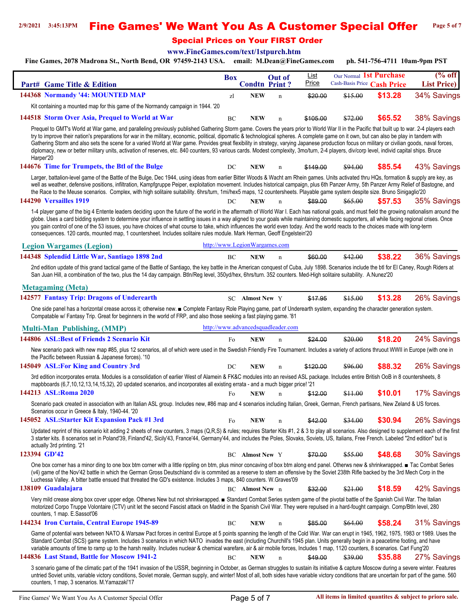### **2/9/2021 3:45:13PM** Fine Games' We Want You As A Customer Special Offer **Page 5 of 7**

Special Prices on Your FIRST Order

**[www.FineGames.com/text/1stpurch.htm](http://www.FineGames.com/text/finegames_2004_clearance.htm)**

**Fine Games, 2078 Madrona St., North Bend, OR 97459-2143 USA. email: M.Dean@FineGames.com ph. 541-756-4711 10am-9pm PST**

|                                                                                                                                                                                                                                                                                                                                                                                                                                                                                                                                                                                                                                                                                                                                                                                                          | Box                           |                        | Out of                             | <u>List</u> | Our Normal 1st Purchase |                             | $(\%$ off           |
|----------------------------------------------------------------------------------------------------------------------------------------------------------------------------------------------------------------------------------------------------------------------------------------------------------------------------------------------------------------------------------------------------------------------------------------------------------------------------------------------------------------------------------------------------------------------------------------------------------------------------------------------------------------------------------------------------------------------------------------------------------------------------------------------------------|-------------------------------|------------------------|------------------------------------|-------------|-------------------------|-----------------------------|---------------------|
| Part# Game Title & Edition                                                                                                                                                                                                                                                                                                                                                                                                                                                                                                                                                                                                                                                                                                                                                                               |                               |                        | <b>Condtn Print?</b>               | Price       |                         | Cash-Basis Price Cash Price | <b>List Price</b> ) |
| 144368 Normandy '44: MOUNTED MAP                                                                                                                                                                                                                                                                                                                                                                                                                                                                                                                                                                                                                                                                                                                                                                         | zl                            | <b>NEW</b>             | $\mathbf n$                        | \$20.00     | \$15.00                 | \$13.28                     | 34% Savings         |
| Kit containing a mounted map for this game of the Normandy campaign in 1944. '20                                                                                                                                                                                                                                                                                                                                                                                                                                                                                                                                                                                                                                                                                                                         |                               |                        |                                    |             |                         |                             |                     |
| 144518 Storm Over Asia, Prequel to World at War                                                                                                                                                                                                                                                                                                                                                                                                                                                                                                                                                                                                                                                                                                                                                          | BC                            | <b>NEW</b>             | n                                  | \$105.00    | \$72.00                 | \$65.52                     | 38% Savings         |
| Prequel to GMT's World at War game, and paralleling previously published Gathering Storm game. Covers the years prior to World War II in the Pacific that built up to war. 2-4 players each<br>try to improve their nation's preparations for war in the military, economic, political, dipomatic & technological spheres. A complete game on it own, but can also be play in tandem with<br>Gathering Storm and also sets the scene for a varied World at War game. Provides great flexibility in strategy, varying Japanese production focus on military or civilian goods, naval forces,<br>diplomacy, new or better military units, activation of reserves, etc. 840 counters, 93 various cards. Modest complexity, 3mo/turn, 2-4 players, div/corp level, individ capital ships. Bruce<br>Harper'20 |                               |                        |                                    |             |                         |                             |                     |
| 144676 Time for Trumpets, the Btl of the Bulge                                                                                                                                                                                                                                                                                                                                                                                                                                                                                                                                                                                                                                                                                                                                                           | DC                            | <b>NEW</b>             | $\mathbf n$                        | \$149.00    | \$94.00                 | \$85.54                     | 43% Savings         |
| Larger, battalion-level game of the Battle of the Bulge, Dec 1944, using ideas from earlier Bitter Woods & Wacht am Rhein games. Units activated thru HQs, formation & supply are key, as<br>well as weather, defensive positions, infiltration, Kampfgruppe Peiper, exploitation movement. Includes historical campaign, plus 6th Panzer Army, 5th Panzer Army Relief of Bastogne, and<br>the Race to the Meuse scenarios. Complex, with high solitaire suitability. 6hrs/turn, 1mi/hex5 maps, 12 countersheets. Playable game system despite size. Bruno Sinigaglio'20                                                                                                                                                                                                                                 |                               |                        |                                    |             |                         |                             |                     |
| 144290 Versailles 1919                                                                                                                                                                                                                                                                                                                                                                                                                                                                                                                                                                                                                                                                                                                                                                                   | DC                            | <b>NEW</b>             | $\mathbf n$                        | \$89.00     | \$65.00                 | \$57.53                     | 35% Savings         |
| 1-4 player game of the big 4 Entente leaders deciding upon the future of the world in the aftermath of World War I. Each has national goals, and must field the growing nationalism around the<br>globe. Uses a card bidding system to determine your influence in settling issues in a way aligned to your goals while maintaining domestic supporters, all while facing regional crises. Once<br>you gain control of one of the 53 issues, you have choices of what course to take, which influences the world even today. And the world reacts to the choices made with long-term<br>consequences. 120 cards, mounted map, 1 countersheet. Includes solitaire rules module. Mark Herman, Geoff Engelstein'20                                                                                          |                               |                        |                                    |             |                         |                             |                     |
| <b>Legion Wargames (Legion)</b>                                                                                                                                                                                                                                                                                                                                                                                                                                                                                                                                                                                                                                                                                                                                                                          | http://www.LegionWargames.com |                        |                                    |             |                         |                             |                     |
| 144348 Splendid Little War, Santiago 1898 2nd                                                                                                                                                                                                                                                                                                                                                                                                                                                                                                                                                                                                                                                                                                                                                            | BC                            | <b>NEW</b>             | $\mathbf n$                        | \$60.00     | \$42.00                 | \$38.22                     | 36% Savings         |
| 2nd edition update of this grand tactical game of the Battle of Santiago, the key battle in the American conquest of Cuba, July 1898. Scenarios include the btl for El Caney, Rough Riders at<br>San Juan Hill, a combination of the two, plus the 14 day campaign. Btln/Reg level, 350yd/hex, 6hrs/turn. 352 counters. Med-High solitaire suitability. A.Nunez'20                                                                                                                                                                                                                                                                                                                                                                                                                                       |                               |                        |                                    |             |                         |                             |                     |
| <b>Metagaming</b> (Meta)                                                                                                                                                                                                                                                                                                                                                                                                                                                                                                                                                                                                                                                                                                                                                                                 |                               |                        |                                    |             |                         |                             |                     |
| 142577 Fantasy Trip: Dragons of Underearth                                                                                                                                                                                                                                                                                                                                                                                                                                                                                                                                                                                                                                                                                                                                                               |                               | <b>SC</b> Almost New Y |                                    | \$17.95     | \$15.00                 | \$13.28                     | 26% Savings         |
| One side panel has a horizontal crease across it; otherwise new. ■ Complete Fantasy Role Playing game, part of Underearth system, expanding the character generation system.<br>Compatable w/ Fantasy Trip. Great for beginners in the world of FRP, and also those seeking a fast playing game. '81                                                                                                                                                                                                                                                                                                                                                                                                                                                                                                     |                               |                        |                                    |             |                         |                             |                     |
| <b>Multi-Man Publishing, (MMP)</b>                                                                                                                                                                                                                                                                                                                                                                                                                                                                                                                                                                                                                                                                                                                                                                       |                               |                        | http://www.advancedsquadleader.com |             |                         |                             |                     |
| 144806 ASL: Best of Friends 2 Scenario Kit                                                                                                                                                                                                                                                                                                                                                                                                                                                                                                                                                                                                                                                                                                                                                               | Fo                            | <b>NEW</b>             | $\mathbf n$                        | \$24.00     | \$20.00                 | \$18.20                     | 24% Savings         |
| New scenario pack with new map #85, plus 12 scenarios, all of which were used in the Swedish Friendly Fire Tournament. Includes a variety of actions thruout WWII in Europe (with one in<br>the Pacific between Russian & Japanese forces). '10                                                                                                                                                                                                                                                                                                                                                                                                                                                                                                                                                          |                               |                        |                                    |             |                         |                             |                     |
| 145049 ASL: For King and Country 3rd                                                                                                                                                                                                                                                                                                                                                                                                                                                                                                                                                                                                                                                                                                                                                                     | DC                            | <b>NEW</b>             | $\mathbf n$                        | \$120.00    | \$96.00                 | \$88.32                     | 26% Savings         |
| 3rd edition incorporates errata. Modules is a consolidation of earlier West of Alamein & FK&C modules into an revised ASL package. Includes entire British OoB in 8 countersheets, 8<br>mapbboards (6,7,10,12,13,14,15,32), 20 updated scenarios, and incorporates all existing errata - and a much bigger price! '21                                                                                                                                                                                                                                                                                                                                                                                                                                                                                    |                               |                        |                                    |             |                         |                             |                     |
| 144213 ASL:Roma 2020                                                                                                                                                                                                                                                                                                                                                                                                                                                                                                                                                                                                                                                                                                                                                                                     | Fo                            | <b>NEW</b>             | $\mathbf n$                        | \$12.00     | \$11.00                 | \$10.01                     | 17% Savings         |
| Scenario pack created in association with an Italian ASL group. Includes new, #86 map and 4 scenarios including Italian, Greek, German, French partisans, New Zeland & US forces.<br>Scenarios occur in Greece & Italy, 1940-44. '20                                                                                                                                                                                                                                                                                                                                                                                                                                                                                                                                                                     |                               |                        |                                    |             |                         |                             |                     |
| 145052 ASL:Starter Kit Expansion Pack #1 3rd                                                                                                                                                                                                                                                                                                                                                                                                                                                                                                                                                                                                                                                                                                                                                             | Fo                            | <b>NEW</b>             | n                                  | \$42.00     | <del>\$34.00</del>      | \$30.94                     | 26% Savings         |
| Updated reprint of this scenario kit adding 2 sheets of new counters, 3 maps (Q,R,S) & rules; requires Starter Kits #1, 2 & 3 to play all scenarios. Also designed to supplement each of the first<br>3 starter kits. 8 scenarios set in Poland'39, Finland'42, Sicily'43, France'44, Germany'44, and includes the Poles, Slovaks, Soviets, US, Italians, Free French. Labeled "2nd edition" but is<br>actually 3rd printing. '21                                                                                                                                                                                                                                                                                                                                                                        |                               |                        |                                    |             |                         |                             |                     |
| 123394 GD'42                                                                                                                                                                                                                                                                                                                                                                                                                                                                                                                                                                                                                                                                                                                                                                                             |                               | <b>BC</b> Almost New Y |                                    | \$70.00     | \$55.00                 | \$48.68                     | 30% Savings         |
| One box corner has a minor ding to one box btm corner with a little rippling on btm, plus minor concaving of box btm along end panel. Otherws new & shrinkwrapped. ■ Tac Combat Series<br>(v4) game of the Nov'42 battle in which the German Gross Deutschland div is commited as a reserve to stem an offensive by the Soviet 238th Rifle backed by the 3rd Mech Corp in the<br>Luchessa Valley. A bitter battle ensued that threated the GD's existence. Includes 3 maps, 840 counters. W.Graves'09                                                                                                                                                                                                                                                                                                    |                               |                        |                                    |             |                         |                             |                     |
| 138109 Guadalajara                                                                                                                                                                                                                                                                                                                                                                                                                                                                                                                                                                                                                                                                                                                                                                                       |                               | BC Almost New n        |                                    | \$32.00     | \$21.00                 | \$18.59                     | 42% Savings         |
| Very mild crease along box cover upper edge. Otherws New but not shrinkwrapped. Falandard Combat Series system game of the pivotal battle of the Spanish Civil War. The Italian<br>motorized Corpo Truppe Volontaire (CTV) unit let the second Fascist attack on Madrid in the Spanish Civil War. They were repulsed in a hard-fought campaign. Comp/Btln level, 280<br>counters, 1 map. E.Sassot'06                                                                                                                                                                                                                                                                                                                                                                                                     |                               |                        |                                    |             |                         |                             |                     |
| 144234 Iron Curtain, Central Europe 1945-89                                                                                                                                                                                                                                                                                                                                                                                                                                                                                                                                                                                                                                                                                                                                                              | BC                            | <b>NEW</b>             | n                                  | \$85.00     | \$64.00                 | \$58.24                     | 31% Savings         |
| Game of potential wars between NATO & Warsaw Pact forces in central Europe at 5 points spanning the length of the Cold War. War can erupt in 1945, 1962, 1975, 1983 or 1989. Uses the<br>Standard Combat (SCS) game system. Includes 3 scenarios in which NATO invades the east (including Churchill's 1945 plan. Units generally begin in a peacetime footing, and have<br>variable amounts of time to ramp up to the harsh reality. Includes nuclear & chemical warefare, air & air mobile forces, Includes 1 map, 1120 counters, 8 scenarios. Carl Fung'20                                                                                                                                                                                                                                            |                               |                        |                                    |             |                         |                             |                     |
| 144836 Last Stand, Battle for Moscow 1941-2                                                                                                                                                                                                                                                                                                                                                                                                                                                                                                                                                                                                                                                                                                                                                              | BC                            | <b>NEW</b>             | $\mathbf n$                        | \$49.00     | \$39.00                 | \$35.88                     | 27% Savings         |
| 3 scenario game of the climatic part of the 1941 invasion of the USSR, beginning in October, as German struggles to sustain its initiative & capture Moscow during a severe winter. Features<br>untried Soviet units, variable victory conditions, Soviet morale, German supply, and winter! Most of all, both sides have variable victory conditions that are uncertain for part of the game. 560<br>counters, 1 map, 3 scenarios. M. Yamazaki'17                                                                                                                                                                                                                                                                                                                                                       |                               |                        |                                    |             |                         |                             |                     |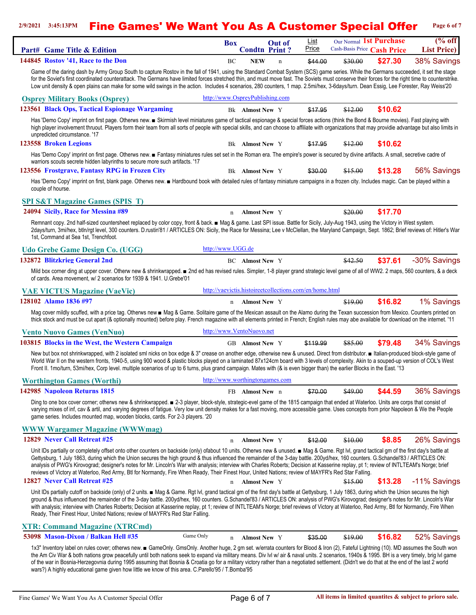## 2/9/2021 3:45:13PM **Fine Games' We Want You As A Customer Special Offer** Page 6 of 7

| Part# Game Title & Edition                                                                                                                                                                                                                                                                                                                                                                                                                                                                                                                                                                                                                                                                                                              | <b>Box</b>                      | <b>Condtn Print?</b>   | <b>Out of</b> | List<br>Price                                           |                    | Our Normal 1st Purchase<br>Cash-Basis Price Cash Price | $(\%$ off<br><b>List Price</b> ) |
|-----------------------------------------------------------------------------------------------------------------------------------------------------------------------------------------------------------------------------------------------------------------------------------------------------------------------------------------------------------------------------------------------------------------------------------------------------------------------------------------------------------------------------------------------------------------------------------------------------------------------------------------------------------------------------------------------------------------------------------------|---------------------------------|------------------------|---------------|---------------------------------------------------------|--------------------|--------------------------------------------------------|----------------------------------|
| 144845 Rostov '41, Race to the Don                                                                                                                                                                                                                                                                                                                                                                                                                                                                                                                                                                                                                                                                                                      | BC                              | <b>NEW</b>             | $\mathbf n$   | \$44.00                                                 | \$30.00            | \$27.30                                                | 38% Savings                      |
| Game of the daring dash by Army Group South to capture Rostov in the fall of 1941, using the Standard Combat System (SCS) game series. While the Germans succeeded, it set the stage<br>for the Soviet's first coordinated counterattack. The Germans have limited forces stretched thin, and must move fast. The Soviets must conserve their forces for the right time to counterstrike.<br>Low unit density & open plains can make for some wild swings in the action. Includes 4 scenarios, 280 counters, 1 map. 2.5mi/hex, 3-6days/turn. Dean Essig, Lee Forester, Ray Weiss'20                                                                                                                                                     |                                 |                        |               |                                                         |                    |                                                        |                                  |
| <b>Osprey Military Books (Osprey)</b>                                                                                                                                                                                                                                                                                                                                                                                                                                                                                                                                                                                                                                                                                                   | http://www.OspreyPublishing.com |                        |               |                                                         |                    |                                                        |                                  |
| 123561 Black Ops, Tactical Espionage Wargaming                                                                                                                                                                                                                                                                                                                                                                                                                                                                                                                                                                                                                                                                                          |                                 | Bk Almost New Y        |               | \$17.95                                                 | \$12.00            | \$10.62                                                |                                  |
| Has 'Demo Copy' imprint on first page. Otherws new. Skirmish level miniatures game of tactical espionage & special forces actions (think the Bond & Bourne movies). Fast playing with<br>high player involvement thruout. Players form their team from all sorts of people with special skills, and can choose to affiliate with organizations that may providie advantage but also limits in<br>unpredicted circumstance. '17                                                                                                                                                                                                                                                                                                          |                                 |                        |               |                                                         |                    |                                                        |                                  |
| 123558 Broken Legions                                                                                                                                                                                                                                                                                                                                                                                                                                                                                                                                                                                                                                                                                                                   |                                 | <b>Bk Almost New</b> Y |               | \$17.95                                                 | <del>\$12.00</del> | \$10.62                                                |                                  |
| Has 'Demo Copy' imprint on first page. Otherws new. E Fantasy miniatures rules set set in the Roman era. The empire's power is secured by divine artifacts. A small, secretive cadre of<br>warriors scouts secrete hidden labyrinths to secure more such artifacts. '17                                                                                                                                                                                                                                                                                                                                                                                                                                                                 |                                 |                        |               |                                                         |                    |                                                        |                                  |
| 123556 Frostgrave, Fantasy RPG in Frozen City                                                                                                                                                                                                                                                                                                                                                                                                                                                                                                                                                                                                                                                                                           |                                 | <b>Bk Almost New</b> Y |               | \$30.00                                                 | \$15.00            | \$13.28                                                | 56% Savings                      |
| Has 'Demo Copy' imprint on first, blank page. Otherws new. ■ Hardbound book with detailed rules of fantasy miniature campaigns in a frozen city. Includes magic. Can be played within a<br>couple of hourse.                                                                                                                                                                                                                                                                                                                                                                                                                                                                                                                            |                                 |                        |               |                                                         |                    |                                                        |                                  |
| <b>SPI S&amp;T Magazine Games (SPIS T)</b>                                                                                                                                                                                                                                                                                                                                                                                                                                                                                                                                                                                                                                                                                              |                                 |                        |               |                                                         |                    |                                                        |                                  |
| 24094 Sicily, Race for Messina #89                                                                                                                                                                                                                                                                                                                                                                                                                                                                                                                                                                                                                                                                                                      | n                               | <b>Almost New Y</b>    |               |                                                         | \$20.00            | \$17.70                                                |                                  |
| Remnant copy. 2nd half-sized countersheet replaced by color copy, front & back. ■ Mag & game. Last SPI issue. Battle for Sicily, July-Aug 1943, using the Victory in West system.<br>2days/turn, 3mi/hex, btln/rgt level, 300 counters. D.rustin'81 / ARTICLES ON: Sicily, the Race for Messina; Lee v McClellan, the Maryland Campaign, Sept. 1862; Brief reviews of: Hitler's War<br>1st, Command at Sea 1st, Trenchfoot.                                                                                                                                                                                                                                                                                                             |                                 |                        |               |                                                         |                    |                                                        |                                  |
| <b>Udo Grebe Game Design Co. (UGG)</b>                                                                                                                                                                                                                                                                                                                                                                                                                                                                                                                                                                                                                                                                                                  | http://www.UGG.de               |                        |               |                                                         |                    |                                                        |                                  |
| 132872 Blitzkrieg General 2nd                                                                                                                                                                                                                                                                                                                                                                                                                                                                                                                                                                                                                                                                                                           |                                 | <b>BC</b> Almost New Y |               |                                                         | \$42.50            | \$37.61                                                | -30% Savings                     |
| Mild box corner ding at upper cover. Otherw new & shrinkwrapped. n 2nd ed has revised rules. Simpler, 1-8 player grand strategic level game of all of WW2. 2 maps, 560 counters, & a deck<br>of cards. Area movement, w/ 2 scenarios for 1939 & 1941. U. Grebe'01                                                                                                                                                                                                                                                                                                                                                                                                                                                                       |                                 |                        |               |                                                         |                    |                                                        |                                  |
| <b>VAE VICTUS Magazine (VaeVic)</b>                                                                                                                                                                                                                                                                                                                                                                                                                                                                                                                                                                                                                                                                                                     |                                 |                        |               | http://vaevictis.histoireetcollections.com/en/home.html |                    |                                                        |                                  |
| 128102 Alamo 1836 #97                                                                                                                                                                                                                                                                                                                                                                                                                                                                                                                                                                                                                                                                                                                   |                                 | n Almost New Y         |               |                                                         | \$19.00            | \$16.82                                                | 1% Savings                       |
| Mag cover mildly scuffed, with a price tag. Otherws new na Mag & Game. Solitaire game of the Mexican assault on the Alamo during the Texan succession from Mexico. Counters printed on<br>thick stock and must be cut apart (& optionally mounted) before play. French magazine with all elements printed in French; English rules may abe available for download on the internet. '11                                                                                                                                                                                                                                                                                                                                                  |                                 |                        |               |                                                         |                    |                                                        |                                  |
| <b>Vento Nuovo Games (VenNuo)</b>                                                                                                                                                                                                                                                                                                                                                                                                                                                                                                                                                                                                                                                                                                       | http://www.VentoNuovo.net       |                        |               |                                                         |                    |                                                        |                                  |
| 103815 Blocks in the West, the Western Campaign                                                                                                                                                                                                                                                                                                                                                                                                                                                                                                                                                                                                                                                                                         |                                 | <b>GB Almost New</b> Y |               | \$119.99                                                | \$85.00            | \$79.48                                                | 34% Savings                      |
| New but box not shrinkwrapped, with 2 isolated sml nicks on box edge & 3" crease on another edge, otherwise new & unused. Direct from distributor. ■ Italian-produced block-style game of<br>World War II on the western fronts, 1940-5, using 900 wood & plastic blocks played on a laminated 87x124cm board with 3 levels of complexity. Akin to a souped-up version of COL's West<br>Front II. 1mo/turn, 53mi/hex, Corp level. multiple scenarios of up to 6 turns, plus grand campaign. Mates with (& is even bigger than) the earlier Blocks in the East. '13                                                                                                                                                                      |                                 |                        |               |                                                         |                    |                                                        |                                  |
| <b>Worthington Games (Worthi)</b>                                                                                                                                                                                                                                                                                                                                                                                                                                                                                                                                                                                                                                                                                                       | http://www.worthingtongames.com |                        |               |                                                         |                    |                                                        |                                  |
| 142985 Napoleon Returns 1815                                                                                                                                                                                                                                                                                                                                                                                                                                                                                                                                                                                                                                                                                                            |                                 | FB Almost New n        |               | \$70.00                                                 | \$49.00            | \$44.59                                                | 36% Savings                      |
| Ding to one box cover corner; otherws new & shrinkwrapped. ■ 2-3 player, block-style, strategic-evel game of the 1815 campaign that ended at Waterloo. Units are corps that consist of<br>varying mixes of inf, cav & artil, and varying degrees of fatigue. Very low unit density makes for a fast moving, more accessible game. Uses concepts from prior Napoleon & We the People<br>game series. Includes mounted map, wooden blocks, cards. For 2-3 players. '20                                                                                                                                                                                                                                                                    |                                 |                        |               |                                                         |                    |                                                        |                                  |
| <b>WWW Wargamer Magazine (WWWmag)</b>                                                                                                                                                                                                                                                                                                                                                                                                                                                                                                                                                                                                                                                                                                   |                                 |                        |               |                                                         |                    |                                                        |                                  |
| 12829 Never Call Retreat #25                                                                                                                                                                                                                                                                                                                                                                                                                                                                                                                                                                                                                                                                                                            | n                               | <b>Almost New Y</b>    |               | \$12.00                                                 | \$10.00            | \$8.85                                                 | 26% Savings                      |
| Unit IDs partially or completely offset onto other counters on backside (only) ofabout 10 units. Otherws new & unused. In Mag & Game. Rgt IvI, grand tactical gm of the first day's battle at<br>Gettysburg, 1 July 1863, during which the Union secures the high ground & thus influenced the remainder of the 3-day battle. 200yd/hex, 160 counters. G.Schandel'83 / ARTICLES ON:<br>analysis of PWG's Kirovograd; designer's notes for Mr. Lincoln's War with analysis; interview with Charles Roberts; Decision at Kasserine replay, pt 1; review of INTLTEAM's Norge; brief<br>reviews of Victory at Waterloo, Red Army, Btl for Normandy, Fire When Ready, Their Finest Hour, United Nations; review of MAYFR's Red Star Falling. |                                 |                        |               |                                                         |                    |                                                        |                                  |
| 12827 Never Call Retreat #25                                                                                                                                                                                                                                                                                                                                                                                                                                                                                                                                                                                                                                                                                                            | n                               | Almost New Y           |               |                                                         | \$15.00            | \$13.28                                                | -11% Savings                     |
| Unit IDs partially cutoff on backside (only) of 2 units. ■ Mag & Game. Rgt Ivl, grand tactical gm of the first day's battle at Gettysburg, 1 July 1863, during which the Union secures the high<br>ground & thus influenced the remainder of the 3-day battle. 200yd/hex, 160 counters. G.Schandel'83 / ARTICLES ON: analysis of PWG's Kirovograd; designer's notes for Mr. Lincoln's War<br>with analysis; interview with Charles Roberts; Decision at Kasserine replay, pt 1; review of INTLTEAM's Norge; brief reviews of Victory at Waterloo, Red Army, Btl for Normandy, Fire When<br>Ready, Their Finest Hour, United Nations; review of MAYFR's Red Star Falling.                                                                |                                 |                        |               |                                                         |                    |                                                        |                                  |
| <b>XTR: Command Magazine (XTRCmd)</b>                                                                                                                                                                                                                                                                                                                                                                                                                                                                                                                                                                                                                                                                                                   |                                 |                        |               |                                                         |                    |                                                        |                                  |
| Game Only<br>53098 Mason-Dixon / Balkan Hell #35                                                                                                                                                                                                                                                                                                                                                                                                                                                                                                                                                                                                                                                                                        | $\mathbf n$                     | <b>Almost New Y</b>    |               | \$35.00                                                 | \$19.00            | \$16.82                                                | 52% Savings                      |
| 1x3" Inventory label on rules cover; otherws new. ■ GameOnly. GmsOnly. Another huge, 2 gm set. w/errata counters for Blood & Iron (2), Fateful Lightning (10). MD assumes the South won<br>the Am Civ War & both nations grow peacefully until both nations seek to expand via military means. Div Ivl w/ air & naval units. 2 scenarios, 1940s & 1995. BH is a very timely, brig Ivl game<br>of the war in Bosnia-Herzegovnia during 1995 assuming that Bosnia & Croatia go for a military victory rather than a negotiated settlement. (Didn't we do that at the end of the last 2 world<br>wars?) A highly educational game given how little we know of this area. C.Parello'95 / T.Bomba'95                                         |                                 |                        |               |                                                         |                    |                                                        |                                  |